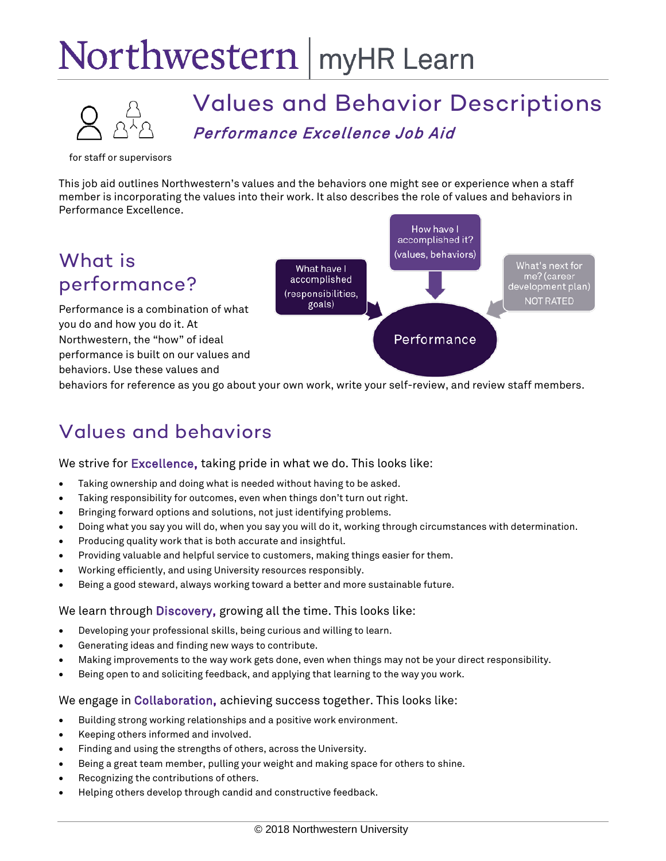# Northwestern | myHR Learn



# Values and Behavior Descriptions Performance Excellence Job Aid

for staff or supervisors

This job aid outlines Northwestern's values and the behaviors one might see or experience when a staff member is incorporating the values into their work. It also describes the role of values and behaviors in Performance Excellence.

### What is performance?

Performance is a combination of what you do and how you do it. At Northwestern, the "how" of ideal performance is built on our values and behaviors. Use these values and



behaviors for reference as you go about your own work, write your self-review, and review staff members.

## Values and behaviors

We strive for Excellence, taking pride in what we do. This looks like:

- Taking ownership and doing what is needed without having to be asked.
- Taking responsibility for outcomes, even when things don't turn out right.
- Bringing forward options and solutions, not just identifying problems.
- Doing what you say you will do, when you say you will do it, working through circumstances with determination.
- Producing quality work that is both accurate and insightful.
- Providing valuable and helpful service to customers, making things easier for them.
- Working efficiently, and using University resources responsibly.
- Being a good steward, always working toward a better and more sustainable future.

#### We learn through Discovery, growing all the time. This looks like:

- Developing your professional skills, being curious and willing to learn.
- Generating ideas and finding new ways to contribute.
- Making improvements to the way work gets done, even when things may not be your direct responsibility.
- Being open to and soliciting feedback, and applying that learning to the way you work.

#### We engage in Collaboration, achieving success together. This looks like:

- Building strong working relationships and a positive work environment.
- Keeping others informed and involved.
- Finding and using the strengths of others, across the University.
- Being a great team member, pulling your weight and making space for others to shine.
- Recognizing the contributions of others.
- Helping others develop through candid and constructive feedback.